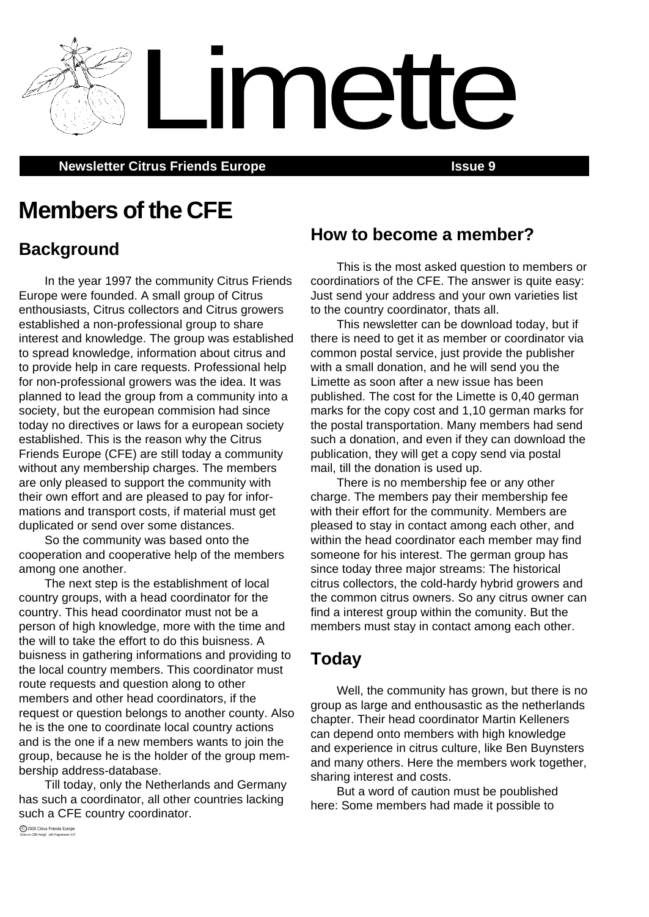**Newsletter Citrus Friends Europe <b>Issue 9 ISSUE 9** 

# **Members of the CFE**

# **Background**

In the year 1997 the community Citrus Friends Europe were founded. A small group of Citrus enthousiasts, Citrus collectors and Citrus growers established a non-professional group to share interest and knowledge. The group was established to spread knowledge, information about citrus and to provide help in care requests. Professional help for non-professional growers was the idea. It was planned to lead the group from a community into a society, but the european commision had since today no directives or laws for a european society established. This is the reason why the Citrus Friends Europe (CFE) are still today a community without any membership charges. The members are only pleased to support the community with their own effort and are pleased to pay for informations and transport costs, if material must get duplicated or send over some distances.

So the community was based onto the cooperation and cooperative help of the members among one another.

The next step is the establishment of local country groups, with a head coordinator for the country. This head coordinator must not be a person of high knowledge, more with the time and the will to take the effort to do this buisness. A buisness in gathering informations and providing to the local country members. This coordinator must route requests and question along to other members and other head coordinators, if the request or question belongs to another county. Also he is the one to coordinate local country actions and is the one if a new members wants to join the group, because he is the holder of the group membership address-database.

Till today, only the Netherlands and Germany has such a coordinator, all other countries lacking such a CFE country coordinator.

**How to become a member?**

Limette

This is the most asked question to members or coordinatiors of the CFE. The answer is quite easy: Just send your address and your own varieties list to the country coordinator, thats all.

This newsletter can be download today, but if there is need to get it as member or coordinator via common postal service, just provide the publisher with a small donation, and he will send you the Limette as soon after a new issue has been published. The cost for the Limette is 0,40 german marks for the copy cost and 1,10 german marks for the postal transportation. Many members had send such a donation, and even if they can download the publication, they will get a copy send via postal mail, till the donation is used up.

There is no membership fee or any other charge. The members pay their membership fee with their effort for the community. Members are pleased to stay in contact among each other, and within the head coordinator each member may find someone for his interest. The german group has since today three major streams: The historical citrus collectors, the cold-hardy hybrid growers and the common citrus owners. So any citrus owner can find a interest group within the comunity. But the members must stay in contact among each other.

## **Today**

Well, the community has grown, but there is no group as large and enthousastic as the netherlands chapter. Their head coordinator Martin Kelleners can depend onto members with high knowledge and experience in citrus culture, like Ben Buynsters and many others. Here the members work together, sharing interest and costs.

But a word of caution must be poublished here: Some members had made it possible to